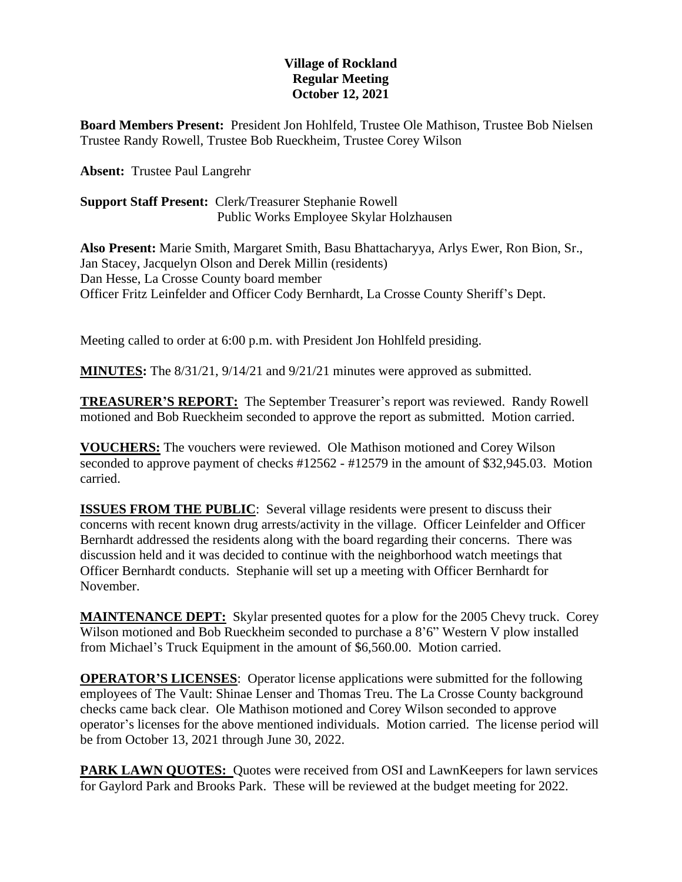## **Village of Rockland Regular Meeting October 12, 2021**

**Board Members Present:** President Jon Hohlfeld, Trustee Ole Mathison, Trustee Bob Nielsen Trustee Randy Rowell, Trustee Bob Rueckheim, Trustee Corey Wilson

**Absent:** Trustee Paul Langrehr

**Support Staff Present:** Clerk/Treasurer Stephanie Rowell Public Works Employee Skylar Holzhausen

**Also Present:** Marie Smith, Margaret Smith, Basu Bhattacharyya, Arlys Ewer, Ron Bion, Sr., Jan Stacey, Jacquelyn Olson and Derek Millin (residents) Dan Hesse, La Crosse County board member Officer Fritz Leinfelder and Officer Cody Bernhardt, La Crosse County Sheriff's Dept.

Meeting called to order at 6:00 p.m. with President Jon Hohlfeld presiding.

**MINUTES:** The 8/31/21, 9/14/21 and 9/21/21 minutes were approved as submitted.

**TREASURER'S REPORT:** The September Treasurer's report was reviewed. Randy Rowell motioned and Bob Rueckheim seconded to approve the report as submitted. Motion carried.

**VOUCHERS:** The vouchers were reviewed. Ole Mathison motioned and Corey Wilson seconded to approve payment of checks #12562 - #12579 in the amount of \$32,945.03. Motion carried.

**ISSUES FROM THE PUBLIC:** Several village residents were present to discuss their concerns with recent known drug arrests/activity in the village. Officer Leinfelder and Officer Bernhardt addressed the residents along with the board regarding their concerns. There was discussion held and it was decided to continue with the neighborhood watch meetings that Officer Bernhardt conducts. Stephanie will set up a meeting with Officer Bernhardt for November.

**MAINTENANCE DEPT:** Skylar presented quotes for a plow for the 2005 Chevy truck. Corey Wilson motioned and Bob Rueckheim seconded to purchase a 8'6" Western V plow installed from Michael's Truck Equipment in the amount of \$6,560.00. Motion carried.

**OPERATOR'S LICENSES**: Operator license applications were submitted for the following employees of The Vault: Shinae Lenser and Thomas Treu. The La Crosse County background checks came back clear. Ole Mathison motioned and Corey Wilson seconded to approve operator's licenses for the above mentioned individuals. Motion carried. The license period will be from October 13, 2021 through June 30, 2022.

**PARK LAWN QUOTES:** Quotes were received from OSI and LawnKeepers for lawn services for Gaylord Park and Brooks Park. These will be reviewed at the budget meeting for 2022.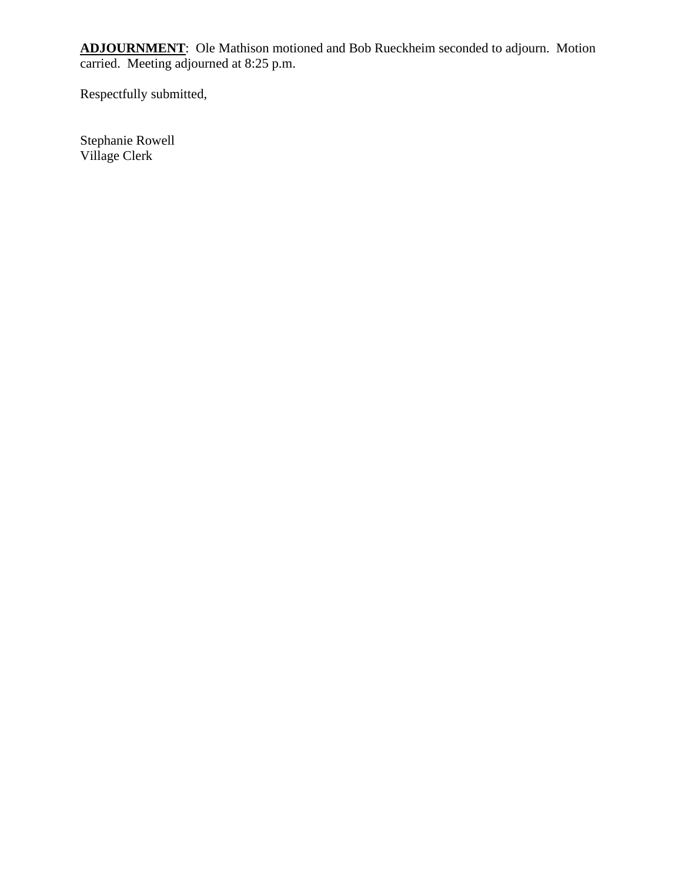**ADJOURNMENT**: Ole Mathison motioned and Bob Rueckheim seconded to adjourn. Motion carried. Meeting adjourned at 8:25 p.m.

Respectfully submitted,

Stephanie Rowell Village Clerk